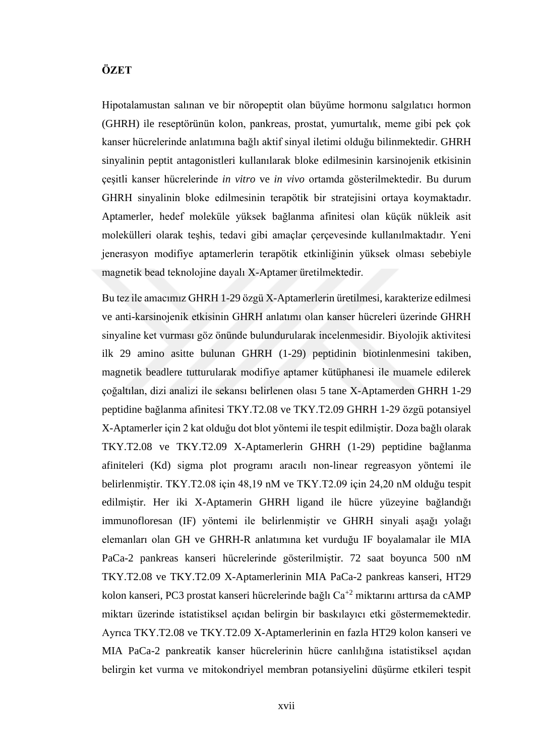## **ÖZET**

Hipotalamustan salınan ve bir nöropeptit olan büyüme hormonu salgılatıcı hormon (GHRH) ile reseptörünün kolon, pankreas, prostat, yumurtalık, meme gibi pek çok kanser hücrelerinde anlatımına bağlı aktif sinyal iletimi olduğu bilinmektedir. GHRH sinyalinin peptit antagonistleri kullanılarak bloke edilmesinin karsinojenik etkisinin çeşitli kanser hücrelerinde *in vitro* ve *in vivo* ortamda gösterilmektedir. Bu durum GHRH sinyalinin bloke edilmesinin terapötik bir stratejisini ortaya koymaktadır. Aptamerler, hedef moleküle yüksek bağlanma afinitesi olan küçük nükleik asit molekülleri olarak teşhis, tedavi gibi amaçlar çerçevesinde kullanılmaktadır. Yeni jenerasyon modifiye aptamerlerin terapötik etkinliğinin yüksek olması sebebiyle magnetik bead teknolojine dayalı X-Aptamer üretilmektedir.

Bu tez ile amacımız GHRH 1-29 özgü X-Aptamerlerin üretilmesi, karakterize edilmesi ve anti-karsinojenik etkisinin GHRH anlatımı olan kanser hücreleri üzerinde GHRH sinyaline ket vurması göz önünde bulundurularak incelenmesidir. Biyolojik aktivitesi ilk 29 amino asitte bulunan GHRH (1-29) peptidinin biotinlenmesini takiben, magnetik beadlere tutturularak modifiye aptamer kütüphanesi ile muamele edilerek çoğaltılan, dizi analizi ile sekansı belirlenen olası 5 tane X-Aptamerden GHRH 1-29 peptidine bağlanma afinitesi TKY.T2.08 ve TKY.T2.09 GHRH 1-29 özgü potansiyel X-Aptamerler için 2 kat olduğu dot blot yöntemi ile tespit edilmiştir. Doza bağlı olarak TKY.T2.08 ve TKY.T2.09 X-Aptamerlerin GHRH (1-29) peptidine bağlanma afiniteleri (Kd) sigma plot programı aracılı non-linear regreasyon yöntemi ile belirlenmiştir. TKY.T2.08 için 48,19 nM ve TKY.T2.09 için 24,20 nM olduğu tespit edilmiştir. Her iki X-Aptamerin GHRH ligand ile hücre yüzeyine bağlandığı immunofloresan (IF) yöntemi ile belirlenmiştir ve GHRH sinyali aşağı yolağı elemanları olan GH ve GHRH-R anlatımına ket vurduğu IF boyalamalar ile MIA PaCa-2 pankreas kanseri hücrelerinde gösterilmiştir. 72 saat boyunca 500 nM TKY.T2.08 ve TKY.T2.09 X-Aptamerlerinin MIA PaCa-2 pankreas kanseri, HT29 kolon kanseri, PC3 prostat kanseri hücrelerinde bağlı Ca<sup>+2</sup> miktarını arttırsa da cAMP miktarı üzerinde istatistiksel açıdan belirgin bir baskılayıcı etki göstermemektedir. Ayrıca TKY.T2.08 ve TKY.T2.09 X-Aptamerlerinin en fazla HT29 kolon kanseri ve MIA PaCa-2 pankreatik kanser hücrelerinin hücre canlılığına istatistiksel açıdan belirgin ket vurma ve mitokondriyel membran potansiyelini düşürme etkileri tespit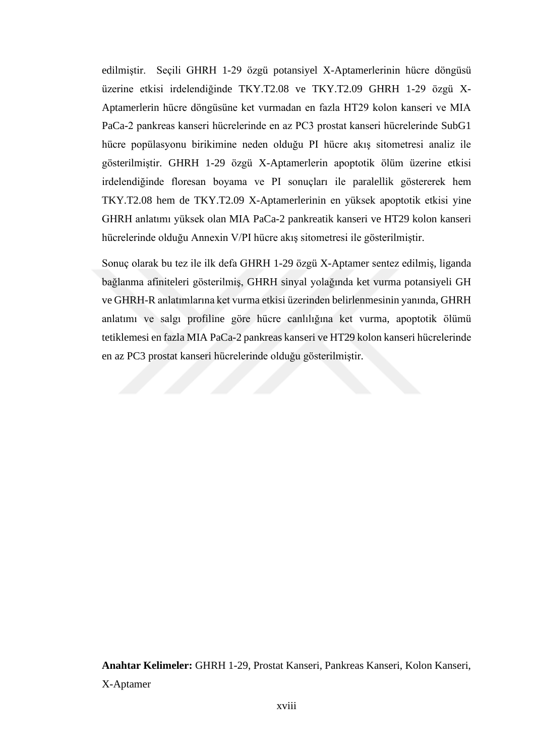edilmiştir. Seçili GHRH 1-29 özgü potansiyel X-Aptamerlerinin hücre döngüsü üzerine etkisi irdelendiğinde TKY.T2.08 ve TKY.T2.09 GHRH 1-29 özgü X-Aptamerlerin hücre döngüsüne ket vurmadan en fazla HT29 kolon kanseri ve MIA PaCa-2 pankreas kanseri hücrelerinde en az PC3 prostat kanseri hücrelerinde SubG1 hücre popülasyonu birikimine neden olduğu PI hücre akış sitometresi analiz ile gösterilmiştir. GHRH 1-29 özgü X-Aptamerlerin apoptotik ölüm üzerine etkisi irdelendiğinde floresan boyama ve PI sonuçları ile paralellik göstererek hem TKY.T2.08 hem de TKY.T2.09 X-Aptamerlerinin en yüksek apoptotik etkisi yine GHRH anlatımı yüksek olan MIA PaCa-2 pankreatik kanseri ve HT29 kolon kanseri hücrelerinde olduğu Annexin V/PI hücre akış sitometresi ile gösterilmiştir.

Sonuç olarak bu tez ile ilk defa GHRH 1-29 özgü X-Aptamer sentez edilmiş, liganda bağlanma afiniteleri gösterilmiş, GHRH sinyal yolağında ket vurma potansiyeli GH ve GHRH-R anlatımlarına ket vurma etkisi üzerinden belirlenmesinin yanında, GHRH anlatımı ve salgı profiline göre hücre canlılığına ket vurma, apoptotik ölümü tetiklemesi en fazla MIA PaCa-2 pankreas kanseri ve HT29 kolon kanseri hücrelerinde en az PC3 prostat kanseri hücrelerinde olduğu gösterilmiştir.

**Anahtar Kelimeler:** GHRH 1-29, Prostat Kanseri, Pankreas Kanseri, Kolon Kanseri, X-Aptamer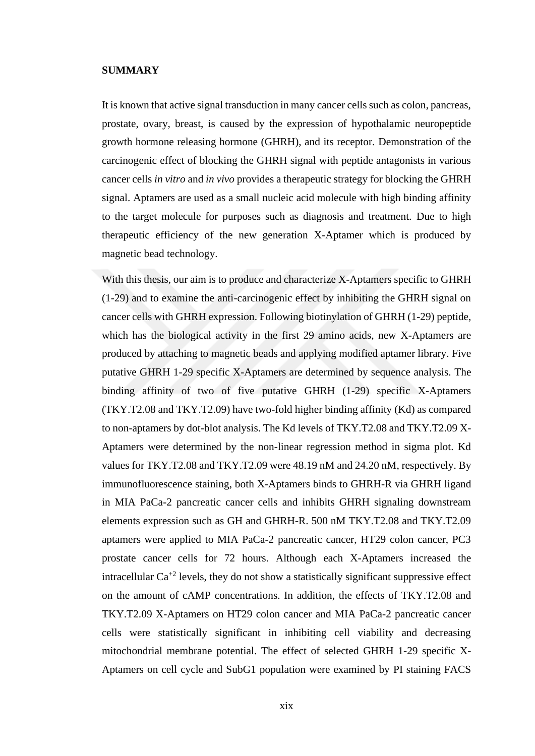## **SUMMARY**

It is known that active signal transduction in many cancer cells such as colon, pancreas, prostate, ovary, breast, is caused by the expression of hypothalamic neuropeptide growth hormone releasing hormone (GHRH), and its receptor. Demonstration of the carcinogenic effect of blocking the GHRH signal with peptide antagonists in various cancer cells *in vitro* and *in vivo* provides a therapeutic strategy for blocking the GHRH signal. Aptamers are used as a small nucleic acid molecule with high binding affinity to the target molecule for purposes such as diagnosis and treatment. Due to high therapeutic efficiency of the new generation X-Aptamer which is produced by magnetic bead technology.

With this thesis, our aim is to produce and characterize X-Aptamers specific to GHRH (1-29) and to examine the anti-carcinogenic effect by inhibiting the GHRH signal on cancer cells with GHRH expression. Following biotinylation of GHRH (1-29) peptide, which has the biological activity in the first 29 amino acids, new X-Aptamers are produced by attaching to magnetic beads and applying modified aptamer library. Five putative GHRH 1-29 specific X-Aptamers are determined by sequence analysis. The binding affinity of two of five putative GHRH (1-29) specific X-Aptamers (TKY.T2.08 and TKY.T2.09) have two-fold higher binding affinity (Kd) as compared to non-aptamers by dot-blot analysis. The Kd levels of TKY.T2.08 and TKY.T2.09 X-Aptamers were determined by the non-linear regression method in sigma plot. Kd values for TKY.T2.08 and TKY.T2.09 were 48.19 nM and 24.20 nM, respectively. By immunofluorescence staining, both X-Aptamers binds to GHRH-R via GHRH ligand in MIA PaCa-2 pancreatic cancer cells and inhibits GHRH signaling downstream elements expression such as GH and GHRH-R. 500 nM TKY.T2.08 and TKY.T2.09 aptamers were applied to MIA PaCa-2 pancreatic cancer, HT29 colon cancer, PC3 prostate cancer cells for 72 hours. Although each X-Aptamers increased the intracellular  $Ca^{+2}$  levels, they do not show a statistically significant suppressive effect on the amount of cAMP concentrations. In addition, the effects of TKY.T2.08 and TKY.T2.09 X-Aptamers on HT29 colon cancer and MIA PaCa-2 pancreatic cancer cells were statistically significant in inhibiting cell viability and decreasing mitochondrial membrane potential. The effect of selected GHRH 1-29 specific X-Aptamers on cell cycle and SubG1 population were examined by PI staining FACS